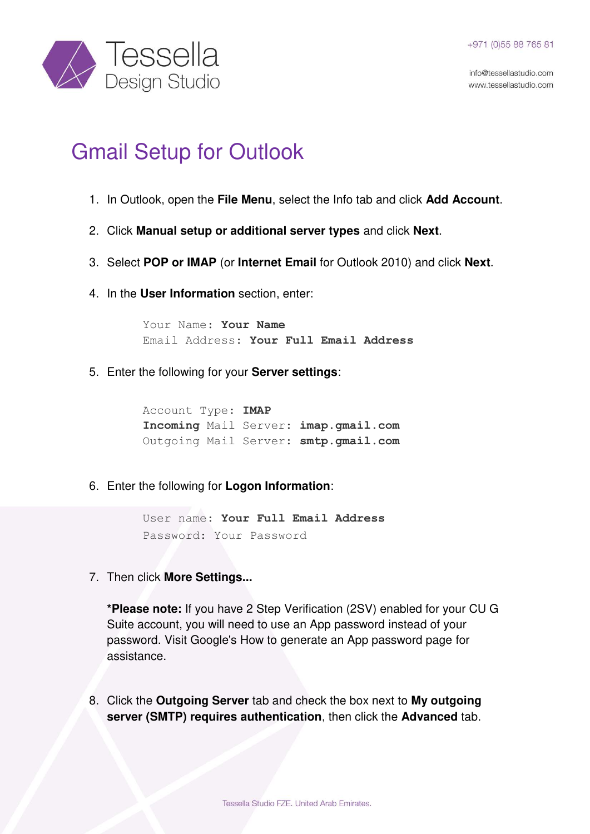info@tessellastudio.com www.tessellastudio.com



## Gmail Setup for Outlook

- 1. In Outlook, open the **File Menu**, select the Info tab and click **Add Account**.
- 2. Click **Manual setup or additional server types** and click **Next**.
- 3. Select **POP or IMAP** (or **Internet Email** for Outlook 2010) and click **Next**.
- 4. In the **User Information** section, enter:

Your Name: **Your Name** Email Address: **Your Full Email Address** 

5. Enter the following for your **Server settings**:

Account Type: **IMAP Incoming** Mail Server: **imap.gmail.com** Outgoing Mail Server: **smtp.gmail.com**

6. Enter the following for **Logon Information**:

User name: **Your Full Email Address** Password: Your Password

7. Then click **More Settings...**

**\*Please note:** If you have 2 Step Verification (2SV) enabled for your CU G Suite account, you will need to use an App password instead of your password. Visit [Google's How to generate an App password page](https://support.google.com/accounts/answer/185833) for assistance.

8. Click the **Outgoing Server** tab and check the box next to **My outgoing server (SMTP) requires authentication**, then click the **Advanced** tab.